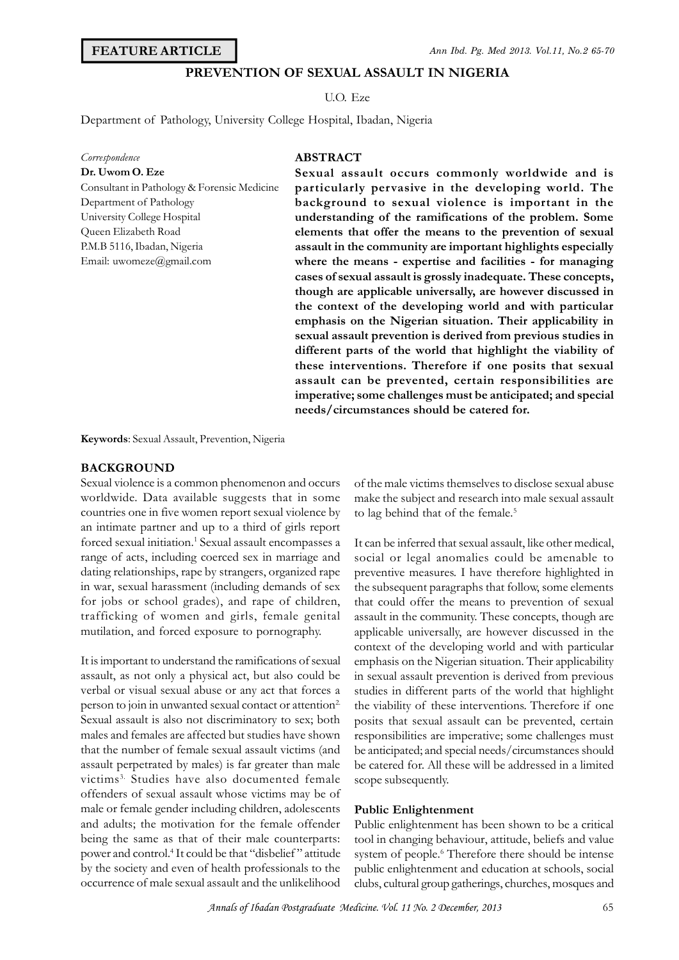### **FEATURE ARTICLE**

# **PREVENTION OF SEXUAL ASSAULT IN NIGERIA**

U.O. Eze

Ann Ibd.<br> **PREVENTION OF SEXUAL ASSAULT IN NIC<br>
U.O.** Eze<br>
Department of Pathology, University College Hospital, Ibadan, Nigeria

| Correspondence                              | AB   |
|---------------------------------------------|------|
| Dr. Uwom O. Eze                             | Sex  |
| Consultant in Pathology & Forensic Medicine | par  |
| Department of Pathology                     | bac  |
| University College Hospital                 | uno  |
| Queen Elizabeth Road                        | eler |
| P.M.B 5116, Ibadan, Nigeria                 | ass  |
| Email: uwomeze@gmail.com                    | who  |
|                                             |      |

# **ABSTRACT**

**Sexual assault occurs commonly worldwide and is particularly pervasive in the developing world. The background to sexual violence is important in the understanding of the ramifications of the problem. Some elements that offer the means to the prevention of sexual assault in the community are important highlights especially where the means - expertise and facilities - for managing cases of sexual assault is grossly inadequate. These concepts, though are applicable universally, are however discussed in the context of the developing world and with particular emphasis on the Nigerian situation. Their applicability in sexual assault prevention is derived from previous studies in different parts of the world that highlight the viability of** the context of the developing world and with particular<br>the context of the developing world and with particular<br>emphasis on the Nigerian situation. Their applicability in<br>sexual assault prevention is derived from previous **assault can be prevented, certain responsibilities are imperative; some challenges must be anticipated; and special needs/circumstances should be catered for.**

**Keywords**: Sexual Assault, Prevention, Nigeria

#### **BACKGROUND**

Sexual violence is a common phenomenon and occurs worldwide. Data available suggests that in some countries one in five women report sexual violence by an intimate partner and up to a third of girls report forced sexual initiation.<sup>1</sup> Sexual assault encompasses a It can range of acts, including coerced sex in marriage and dating relationships, rape by strangers, organized rape in war, sexual harassment (including demands of sex for jobs or school grades), and rape of children, trafficking of women and girls, female genital mutilation, and forced exposure to pornography.

It is important to understand the ramifications of sexual assault, as not only a physical act, but also could be verbal or visual sexual abuse or any act that forces a person to join in unwanted sexual contact or attention<sup>2</sup>. Sexual assault is also not discriminatory to sex; both males and females are affected but studies have shown that the number of female sexual assault victims (and assault perpetrated by males) is far greater than male victims3. Studies have also documented female offenders of sexual assault whose victims may be of male or female gender including children, adolescents and adults; the motivation for the female offender being the same as that of their male counterparts: power and control.<sup>4</sup> It could be that "disbelief" attitude have also documented temale scope sub<br>
l assault whose victims may be of<br>
der including children, adolescents **Public E**<br>
bitivation for the female offender Public en<br>
that of their male counterparts: tool in ch<br>
It could by the society and even of health professionals to the occurrence of male sexual assault and the unlikelihood

of the male victims themselves to disclose sexual abuse make the subject and research into male sexual assault to lag behind that of the female.<sup>5</sup>

It can be inferred that sexual assault, like other medical, social or legal anomalies could be amenable to preventive measures. I have therefore highlighted in the subsequent paragraphs that follow, some elements that could offer the means to prevention of sexual assault in the community. These concepts, though are applicable universally, are however discussed in the context of the developing world and with particular emphasis on the Nigerian situation. Their applicability in sexual assault prevention is derived from previous studies in different parts of the world that highlight applicable universally, are however discussed in the<br>context of the developing world and with particular<br>emphasis on the Nigerian situation. Their applicability<br>in sexual assault prevention is derived from previous<br>studies posits that sexual assault can be prevented, certain responsibilities are imperative; some challenges must be anticipated; and special needs/circumstances should be catered for. All these will be addressed in a limited scope subsequently.

#### **Public Enlightenment**

Public enlightenment has been shown to be a critical tool in changing behaviour, attitude, beliefs and value system of people.<sup>6</sup> Therefore there should be intense public enlightenment and education at schools, social clubs, cultural group gatherings, churches, mosques and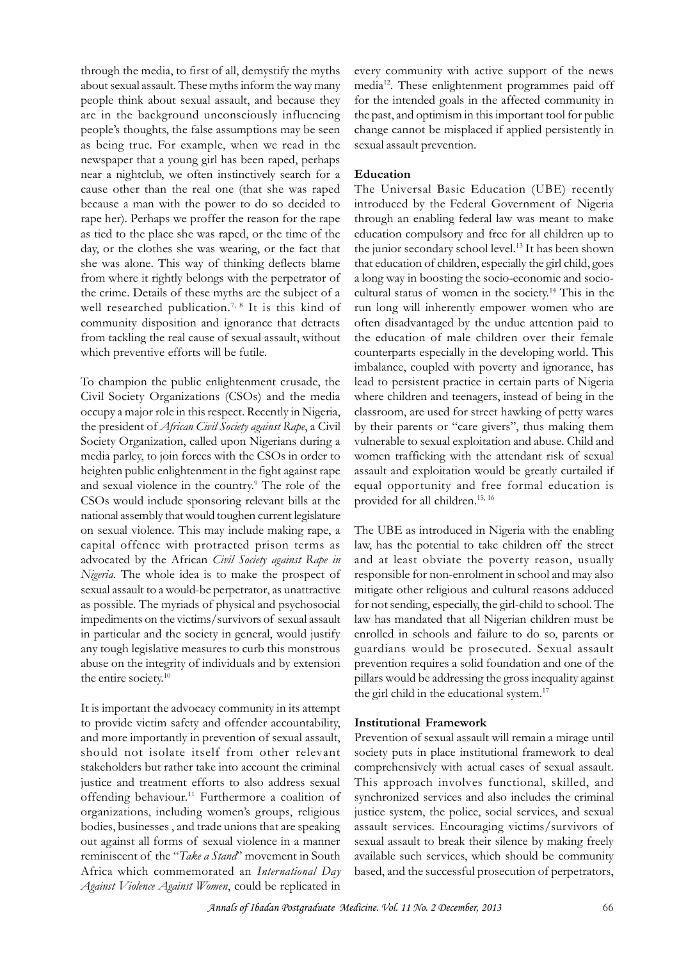through the media, to first of all, demystify the myths about sexual assault. These myths inform the way many people think about sexual assault, and because they are in the background unconsciously influencing people's thoughts, the false assumptions may be seen as being true. For example, when we read in the newspaper that a young girl has been raped, perhaps near a nightclub, we often instinctively search for a cause other than the real one (that she was raped because a man with the power to do so decided to introduced by the Federal Government of Nigeria rape her). Perhaps we proffer the reason for the rape as tied to the place she was raped, or the time of the day, or the clothes she was wearing, or the fact that she was alone. This way of thinking deflects blame from where it rightly belongs with the perpetrator of the crime. Details of these myths are the subject of a well researched publication.<sup>7, 8</sup> It is this kind of community disposition and ignorance that detracts from tackling the real cause of sexual assault, without which preventive efforts will be futile.

To champion the public enlightenment crusade, the Civil Society Organizations (CSOs) and the media occupy a major role in this respect. Recently in Nigeria, the president of *African Civil Society against Rape*, a Civil Society Organization, called upon Nigerians during a media parley, to join forces with the CSOs in order to heighten public enlightenment in the fight against rape and sexual violence in the country.<sup>9</sup> The role of the ecently in Nigeria, classroom, are<br>gainst Rape, a Civil by their parentigerians during a vulnerable to s<br>CSOs in order to women traffic<br>fight against rape assault and exp<br>The role of the equal opport<br>evant bills at the pro CSOs would include sponsoring relevant bills at the national assembly that would toughen current legislature on sexual violence. This may include making rape, a capital offence with protracted prison terms as law, has the potential to take children off the street advocated by the African *Civil Society against Rape in Nigeria*. The whole idea is to make the prospect of sexual assault to a would-be perpetrator, as unattractive as possible. The myriads of physical and psychosocial capital offence with protracted prison terms as law, hadvocated by the African *Civil Society against Rape in* and *Nigeria*. The whole idea is to make the prospect of respositional assault to a would-be perpetrator, as un in particular and the society in general, would justify any tough legislative measures to curb this monstrous abuse on the integrity of individuals and by extension the entire society.<sup>10</sup>

It is important the advocacy community in its attempt to provide victim safety and offender accountability, and more importantly in prevention of sexual assault, should not isolate itself from other relevant stakeholders but rather take into account the criminal justice and treatment efforts to also address sexual offending behaviour.<sup>11</sup> Furthermore a coalition of syn organizations, including women's groups, religious bodies, businesses , and trade unions that are speaking stakeholders but rather take into account the criminal<br>justice and treatment efforts to also address sexual The<br>offending behaviour.<sup>11</sup> Furthermore a coalition of syn<br>organizations, including women's groups, religious jus justice and treatment efforts to also address sexual This a<br>offending behaviour.<sup>11</sup> Furthermore a coalition of synchr<br>organizations, including women's groups, religious justice<br>bodies, businesses, and trade unions that ar Africa which commemorated an *International Day Against Violence Against Women*, could be replicated in

every community with active support of the news media<sup>12</sup>. These enlightenment programmes paid off for the intended goals in the affected community in the past, and optimism in this important tool for public change cannot be misplaced if applied persistently in sexual assault prevention.

# **Education**

The Universal Basic Education (UBE) recently change cannot be misplaced it applied persistently in<br>sexual assault prevention.<br>**Education**<br>The Universal Basic Education (UBE) recently<br>introduced by the Federal Government of Nigeria<br>through an enabling federal law was through an enabling federal law was meant to make education compulsory and free for all children up to the junior secondary school level.<sup>13</sup> It has been shown that education of children, especially the girl child, goes a long way in boosting the socio-economic and sociocultural status of women in the society.<sup>14</sup> This in the run long will inherently empower women who are often disadvantaged by the undue attention paid to the education of male children over their female counterparts especially in the developing world. This imbalance, coupled with poverty and ignorance, has lead to persistent practice in certain parts of Nigeria where children and teenagers, instead of being in the classroom, are used for street hawking of petty wares by their parents or "care givers", thus making them vulnerable to sexual exploitation and abuse. Child and women trafficking with the attendant risk of sexual assault and exploitation would be greatly curtailed if equal opportunity and free formal education is provided for all children.<sup>15, 16</sup>

The UBE as introduced in Nigeria with the enabling assault and exploitation would be greatly curtailed it<br>equal opportunity and free formal education is<br>provided for all children.<sup>15, 16</sup><br>The UBE as introduced in Nigeria with the enabling<br>law, has the potential to take chi and at least obviate the poverty reason, usually responsible for non-enrolment in school and may also mitigate other religious and cultural reasons adduced for not sending, especially, the girl-child to school. The law has mandated that all Nigerian children must be enrolled in schools and failure to do so, parents or guardians would be prosecuted. Sexual assault prevention requires a solid foundation and one of the pillars would be addressing the gross inequality against the girl child in the educational system.<sup>17</sup>

# **Institutional Framework**

Prevention of sexual assault will remain a mirage until society puts in place institutional framework to deal comprehensively with actual cases of sexual assault. This approach involves functional, skilled, and synchronized services and also includes the criminal justice system, the police, social services, and sexual assault services. Encouraging victims/survivors of sexual assault to break their silence by making freely available such services, which should be community based, and the successful prosecution of perpetrators,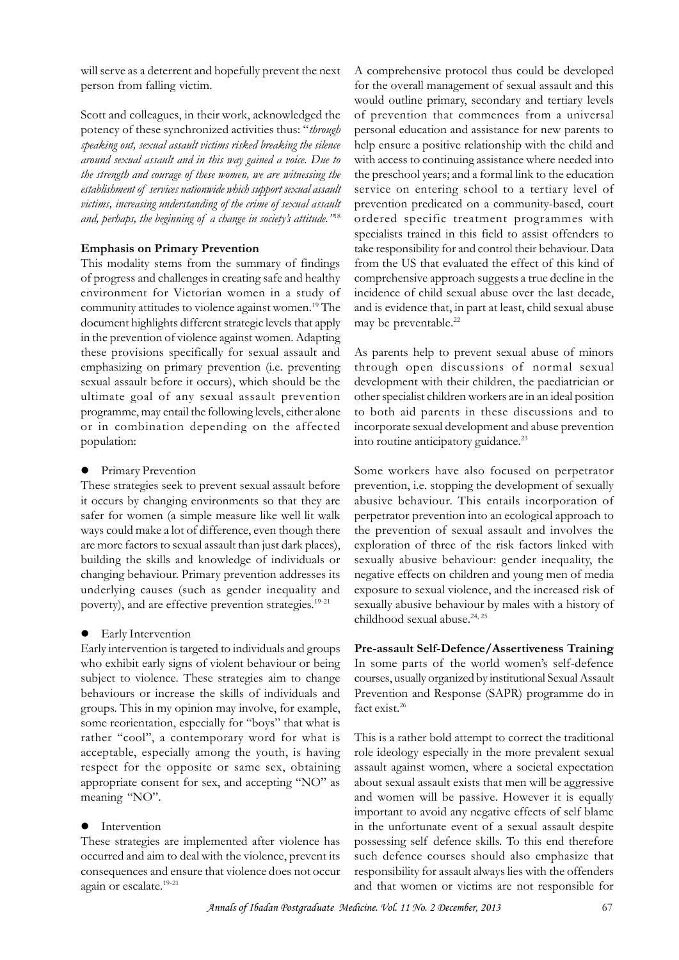will serve as a deterrent and hopefully prevent the next person from falling victim.

Scott and colleagues, in their work, acknowledged the potency of these synchronized activities thus: "*through speaking out, sexual assault victims risked breaking the silence around sexual assault and in this way gained a voice. Due to the strength and courage of these women, we are witnessing the* **Scott and colleagues, in their work, acknowledged the**<br>
potency of these synchronized activities thus: "*through*<br> *speaking out, sexual assault victims risked breaking the silence*<br> *he around sexual assault and in this victims, increasing understanding of the crime of sexual assault and, perhaps, increasing understanding of the crime of sexual assault victims, increasing understanding of the crime of sexual assault and, perhaps, the beginning of a change in society's attitude."<sup>18</sup> Emphasis on Prima* 

This modality stems from the summary of findings of progress and challenges in creating safe and healthy environment for Victorian women in a study of community attitudes to violence against women.<sup>19</sup> The document highlights different strategic levels that apply in the prevention of violence against women. Adapting these provisions specifically for sexual assault and emphasizing on primary prevention (i.e. preventing sexual assault before it occurs), which should be the ultimate goal of any sexual assault prevention programme, may entail the following levels, either alone or in combination depending on the affected population:

**•** Primary Prevention

These strategies seek to prevent sexual assault before it occurs by changing environments so that they are safer for women (a simple measure like well lit walk ways could make a lot of difference, even though there are more factors to sexual assault than just dark places), building the skills and knowledge of individuals or changing behaviour. Primary prevention addresses its underlying causes (such as gender inequality and poverty), and are effective prevention strategies.<sup>19-21</sup>

### **•** Early Intervention

Early intervention is targeted to individuals and groups who exhibit early signs of violent behaviour or being In some parts of the world women's self-defence subject to violence. These strategies aim to change behaviours or increase the skills of individuals and groups. This in my opinion may involve, for example, some reorientation, especially for "boys" that what is rather "cool", a contemporary word for what is acceptable, especially among the youth, is having respect for the opposite or same sex, obtaining appropriate consent for sex, and accepting "NO" as meaning "NO".

### Intervention

occurred and aim to deal with the violence, prevent its consequences and ensure that violence does not occur again or escalate.<sup>19-21</sup>

A comprehensive protocol thus could be developed for the overall management of sexual assault and this would outline primary, secondary and tertiary levels of prevention that commences from a universal personal education and assistance for new parents to help ensure a positive relationship with the child and with access to continuing assistance where needed into the preschool years; and a formal link to the education service on entering school to a tertiary level of prevention predicated on a community-based, court ordered specific treatment programmes with specialists trained in this field to assist offenders to take responsibility for and control their behaviour. Data from the US that evaluated the effect of this kind of comprehensive approach suggests a true decline in the incidence of child sexual abuse over the last decade, and is evidence that, in part at least, child sexual abuse may be preventable.<sup>22</sup>

As parents help to prevent sexual abuse of minors through open discussions of normal sexual development with their children, the paediatrician or other specialist children workers are in an ideal position to both aid parents in these discussions and to incorporate sexual development and abuse prevention into routine anticipatory guidance.<sup>23</sup>

Some workers have also focused on perpetrator prevention, i.e. stopping the development of sexually abusive behaviour. This entails incorporation of perpetrator prevention into an ecological approach to the prevention of sexual assault and involves the exploration of three of the risk factors linked with sexually abusive behaviour: gender inequality, the negative effects on children and young men of media exposure to sexual violence, and the increased risk of sexually abusive behaviour by males with a history of childhood sexual abuse.<sup>24, 25</sup> exposure to sexual violence, and the increased risk of<br>sexually abusive behaviour by males with a history of<br>childhood sexual abuse.<sup>24, 25</sup><br>**Pre-assault Self-Defence/Assertiveness Training**<br>In some parts of the world wome

### **Pre-assault Self-Defence/Assertiveness Training**

courses, usually organized by institutional Sexual Assault Prevention and Response (SAPR) programme do in fact exist.<sup>26</sup>

These strategies are implemented after violence has possessing self defence skills. To this end therefore This is a rather bold attempt to correct the traditional role ideology especially in the more prevalent sexual assault against women, where a societal expectation about sexual assault exists that men will be aggressive and women will be passive. However it is equally important to avoid any negative effects of self blame in the unfortunate event of a sexual assault despite assault against women, where a societal expectation<br>about sexual assault exists that men will be aggressive<br>and women will be passive. However it is equally<br>important to avoid any negative effects of self blame<br>in the unfo such defence courses should also emphasize that responsibility for assault always lies with the offenders and that women or victims are not responsible for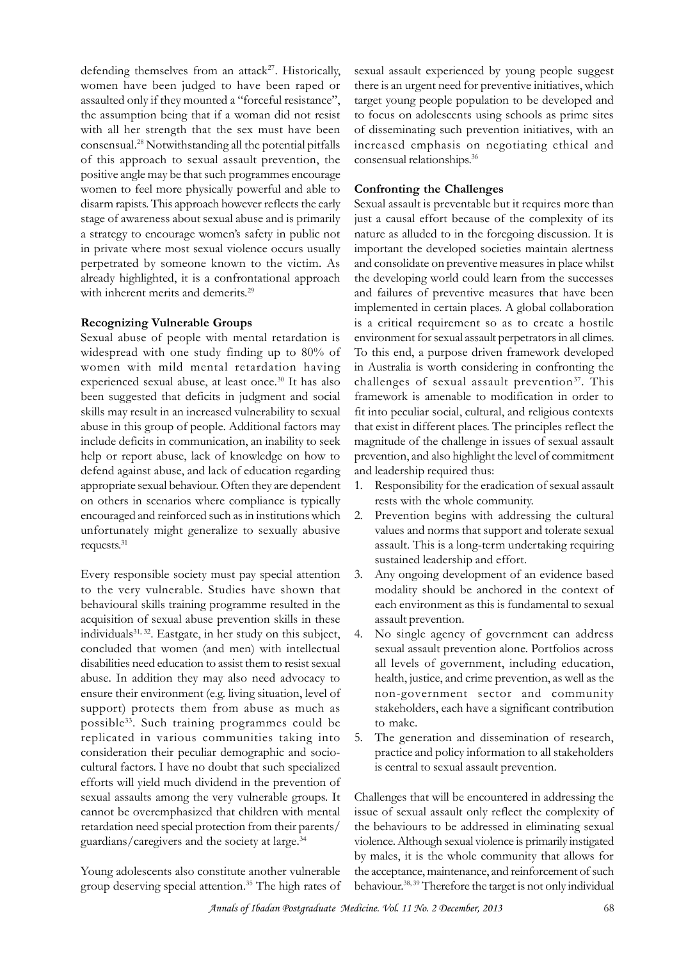defending themselves from an attack<sup>27</sup>. Historically, women have been judged to have been raped or assaulted only if they mounted a "forceful resistance", the assumption being that if a woman did not resist with all her strength that the sex must have been consensual.<sup>28</sup> Notwithstanding all the potential pitfalls of this approach to sexual assault prevention, the positive angle may be that such programmes encourage women to feel more physically powerful and able to disarm rapists. This approach however reflects the early stage of awareness about sexual abuse and is primarily a strategy to encourage women's safety in public not in private where most sexual violence occurs usually perpetrated by someone known to the victim. As already highlighted, it is a confrontational approach with inherent merits and demerits.<sup>29</sup>

## **Recognizing Vulnerable Groups**

Sexual abuse of people with mental retardation is widespread with one study finding up to 80% of women with mild mental retardation having experienced sexual abuse, at least once.<sup>30</sup> It has also been suggested that deficits in judgment and social skills may result in an increased vulnerability to sexual abuse in this group of people. Additional factors may include deficits in communication, an inability to seek help or report abuse, lack of knowledge on how to defend against abuse, and lack of education regarding appropriate sexual behaviour. Often they are dependent on others in scenarios where compliance is typically encouraged and reinforced such as in institutions which 2. unfortunately might generalize to sexually abusive requests.<sup>31</sup>

Every responsible society must pay special attention 3. to the very vulnerable. Studies have shown that behavioural skills training programme resulted in the acquisition of sexual abuse prevention skills in these individuals<sup>31, 32</sup>. Eastgate, in her study on this subject, 4. concluded that women (and men) with intellectual disabilities need education to assist them to resist sexual abuse. In addition they may also need advocacy to ensure their environment (e.g. living situation, level of support) protects them from abuse as much as possible<sup>33</sup>. Such training programmes could be replicated in various communities taking into consideration their peculiar demographic and sociocultural factors. I have no doubt that such specialized efforts will yield much dividend in the prevention of sexual assaults among the very vulnerable groups. It cannot be overemphasized that children with mental retardation need special protection from their parents/ guardians/caregivers and the society at large.<sup>34</sup>

Young adolescents also constitute another vulnerable group deserving special attention.<sup>35</sup> The high rates of

sexual assault experienced by young people suggest there is an urgent need for preventive initiatives, which target young people population to be developed and to focus on adolescents using schools as prime sites of disseminating such prevention initiatives, with an increased emphasis on negotiating ethical and consensual relationships.<sup>36</sup>

## **Confronting the Challenges**

Sexual assault is preventable but it requires more than just a causal effort because of the complexity of its nature as alluded to in the foregoing discussion. It is important the developed societies maintain alertness and consolidate on preventive measures in place whilst the developing world could learn from the successes and failures of preventive measures that have been implemented in certain places. A global collaboration is a critical requirement so as to create a hostile environment for sexual assault perpetrators in all climes. To this end, a purpose driven framework developed in Australia is worth considering in confronting the challenges of sexual assault prevention<sup>37</sup>. This framework is amenable to modification in order to fit into peculiar social, cultural, and religious contexts that exist in different places. The principles reflect the magnitude of the challenge in issues of sexual assault prevention, and also highlight the level of commitment and leadership required thus:

- Responsibility for the eradication of sexual assault rests with the whole community.
- Prevention begins with addressing the cultural values and norms that support and tolerate sexual assault. This is a long-term undertaking requiring sustained leadership and effort.
- Any ongoing development of an evidence based modality should be anchored in the context of each environment as this is fundamental to sexual assault prevention.
- No single agency of government can address sexual assault prevention alone. Portfolios across all levels of government, including education, health, justice, and crime prevention, as well as the non-government sector and community stakeholders, each have a significant contribution to make.
- 5. The generation and dissemination of research, practice and policy information to all stakeholders is central to sexual assault prevention.

Challenges that will be encountered in addressing the issue of sexual assault only reflect the complexity of the behaviours to be addressed in eliminating sexual violence. Although sexual violence is primarily instigated by males, it is the whole community that allows for the acceptance, maintenance, and reinforcement of such behaviour.<sup>38, 39</sup> Therefore the target is not only individual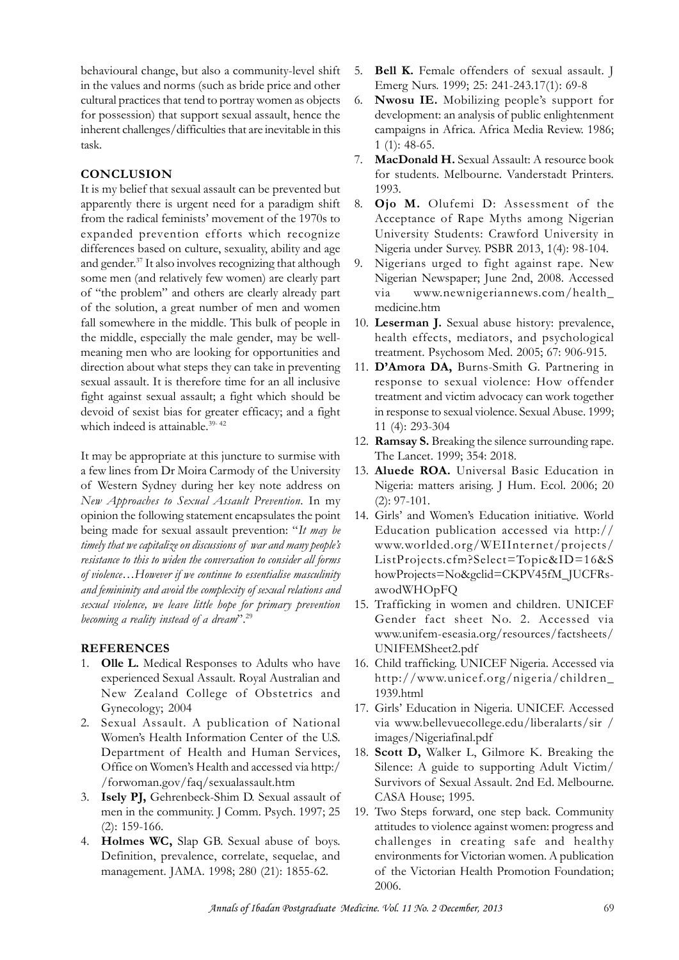behavioural change, but also a community-level shift in the values and norms (such as bride price and other cultural practices that tend to portray women as objects 6. for possession) that support sexual assault, hence the inherent challenges/difficulties that are inevitable in this task.

# **CONCLUSION**

It is my belief that sexual assault can be prevented but apparently there is urgent need for a paradigm shift from the radical feminists' movement of the 1970s to expanded prevention efforts which recognize differences based on culture, sexuality, ability and age and gender.<sup>37</sup> It also involves recognizing that although some men (and relatively few women) are clearly part of "the problem" and others are clearly already part of the solution, a great number of men and women fall somewhere in the middle. This bulk of people in the middle, especially the male gender, may be wellmeaning men who are looking for opportunities and direction about what steps they can take in preventing sexual assault. It is therefore time for an all inclusive fight against sexual assault; a fight which should be devoid of sexist bias for greater efficacy; and a fight which indeed is attainable.<sup>39-42</sup>

It may be appropriate at this juncture to surmise with tight against sexual assault; a fight which should be<br>devoid of sexist bias for greater efficacy; and a fight<br>which indeed is attainable.<sup>39-42</sup><br>12. I<br>It may be appropriate at this juncture to surmise with<br>a few lines fro devoid of sexist bias for greater efficacy; and a fight in the which indeed is attainable.<sup>39-42</sup> 11<br>12. **Ra**<br>It may be appropriate at this juncture to surmise with The a few lines from Dr Moira Carmody of the University 1 *New Approaches to Sexual Assault Prevention*. In my opinion the following statement encapsulates the point being made for sexual assault prevention: "*It may be the University* 13<br> *to Western Sydney during her key note address on<br>
<i>New Approaches to Sexual Assault Prevention*. In my<br>
opinion the following statement encapsulates the point<br>
14<br>
being made for sexual assault preven *resistance to this to widen the conversation to consider all forms of violence…However if we continue to essentialise masculinity and femininity and avoid the complexity of sexual relations and sexual violence, we leave little hope for primary prevention becoming a reality instead of a dream*".<sup>29</sup>

# **REFERENCES**

- 1. **Olle L.** Medical Responses to Adults who have experienced Sexual Assault. Royal Australian and New Zealand College of Obstetrics and Gynecology; 2004 **OIIE L.** Medical Responses to Adults who have 16. Child<br>experienced Sexual Assault. Royal Australian and http:<br>New Zealand College of Obstetrics and 1939.<br>Gynecology; 2004 17. Girls'<br>Sexual Assault. A publication of Natio
- 2. Sexual Assault. A publication of National experienced Sexual Assault. Royal Australian and<br>
New Zealand College of Obstetrics and<br>
Gynecology; 2004<br>
Sexual Assault. A publication of National<br>
Women's Health Information Center of the U.S.<br>
Department of Health and Office on Women's Health and accessed via http:/ /forwoman.gov/faq/sexualassault.htm
- 3. **Isely PJ,** Gehrenbeck-Shim D. Sexual assault of men in the community. J Comm. Psych. 1997; 25 (2): 159-166. Office on Women's Health and accessed via http:/<br>
1. Silence:<br>
1. Forwoman.gov/faq/sexualassault.htm<br>
3. **Isely PJ,** Gehrenbeck-Shim D. Sexual assault of CASA F<br>
1. Two Ste<br>
2.: 159-166.<br>
4. **Holmes WC,** Slap GB. Sexual ab
- Definition, prevalence, correlate, sequelae, and management. JAMA. 1998; 280 (21): 1855-62.
- **5. Bell K.** Female offenders of sexual assault. J<br>Emerg Nurs. 1999; 25: 241-243.17(1): 69-8 Emerg Nurs. 1999; 25: 241-243.17(1): 69-8
- 6. **Nwosu IE.** Mobilizing people's support for development: an analysis of public enlightenment campaigns in Africa. Africa Media Review. 1986; 1 (1): 48-65.
- 7. **MacDonald H.** Sexual Assault: A resource book for students. Melbourne. Vanderstadt Printers. 1993.
- 8. **Ojo M.** Olufemi D: Assessment of the Acceptance of Rape Myths among Nigerian University Students: Crawford University in Nigeria under Survey. PSBR 2013, 1(4): 98-104.
- 9. Nigerians urged to fight against rape. New Nigerian Newspaper; June 2nd, 2008. Accessed via www.newnigeriannews.com/health\_ medicine.htm
- 10. **Leserman J.** Sexual abuse history: prevalence, health effects, mediators, and psychological treatment. Psychosom Med. 2005; 67: 906-915.
- 11. **D'Amora DA,** Burns-Smith G. Partnering in response to sexual violence: How offender treatment and victim advocacy can work together in response to sexual violence. Sexual Abuse. 1999; 11 (4): 293-304
- 12. **Ramsay S.** Breaking the silence surrounding rape. The Lancet. 1999; 354: 2018.
- 13. **Aluede ROA.** Universal Basic Education in Nigeria: matters arising. J Hum. Ecol. 2006; 20 (2): 97-101.
- 14. Girls' and Women's Education initiative. World Education publication accessed via http:// www.worlded.org/WEIInternet/projects/ ListProjects.cfm?Select=Topic&ID=16&S howProjects=No&gclid=CKPV45fM\_JUCFRsawodWHOpFQ
- 15. Trafficking in women and children. UNICEF Gender fact sheet No. 2. Accessed via www.unifem-eseasia.org/resources/factsheets/ UNIFEMSheet2.pdf
- 16. Child trafficking. UNICEF Nigeria. Accessed via http://www.unicef.org/nigeria/children\_ 1939.html
- 17. Girls' Education in Nigeria. UNICEF. Accessed via www.bellevuecollege.edu/liberalarts/sir / images/Nigeriafinal.pdf
- 18. **Scott D,** Walker L, Gilmore K. Breaking the Silence: A guide to supporting Adult Victim/ Girls' Education in Nigeria. UNICEF. Accessed<br>via www.bellevuecollege.edu/liberalarts/sir /<br>images/Nigeriafinal.pdf<br>**Scott D,** Walker L, Gilmore K. Breaking the<br>Silence: A guide to supporting Adult Victim/<br>Survivors of Sex CASA House; 1995.
- 19. Two Steps forward, one step back. Community attitudes to violence against women: progress and challenges in creating safe and healthy environments for Victorian women. A publication CASA House; 1995.<br>Two Steps forward, one step back. Community<br>attitudes to violence against women: progress and<br>challenges in creating safe and healthy<br>environments for Victorian women. A publication<br>of the Victorian Healt 2006.